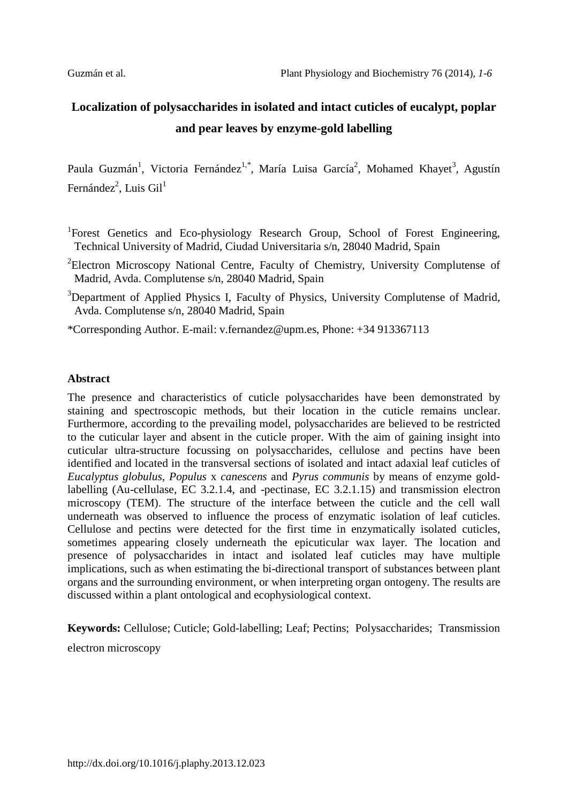# **Localization of polysaccharides in isolated and intact cuticles of eucalypt, poplar and pear leaves by enzyme-gold labelling**

Paula Guzmán<sup>1</sup>, Victoria Fernández<sup>1,\*</sup>, María Luisa García<sup>2</sup>, Mohamed Khayet<sup>3</sup>, Agustín Fernández<sup>2</sup>, Luis Gil<sup>1</sup>

- <sup>1</sup>Forest Genetics and Eco-physiology Research Group, School of Forest Engineering, Technical University of Madrid, Ciudad Universitaria s/n, 28040 Madrid, Spain
- <sup>2</sup>Electron Microscopy National Centre, Faculty of Chemistry, University Complutense of Madrid, Avda. Complutense s/n, 28040 Madrid, Spain
- <sup>3</sup>Department of Applied Physics I, Faculty of Physics, University Complutense of Madrid, Avda. Complutense s/n, 28040 Madrid, Spain

\*Corresponding Author. E-mail: v.fernandez@upm.es, Phone: +34 913367113

# **Abstract**

The presence and characteristics of cuticle polysaccharides have been demonstrated by staining and spectroscopic methods, but their location in the cuticle remains unclear. Furthermore, according to the prevailing model, polysaccharides are believed to be restricted to the cuticular layer and absent in the cuticle proper. With the aim of gaining insight into cuticular ultra-structure focussing on polysaccharides, cellulose and pectins have been identified and located in the transversal sections of isolated and intact adaxial leaf cuticles of *Eucalyptus globulus*, *Populus* x *canescens* and *Pyrus communis* by means of enzyme goldlabelling (Au-cellulase, EC 3.2.1.4, and -pectinase, EC 3.2.1.15) and transmission electron microscopy (TEM). The structure of the interface between the cuticle and the cell wall underneath was observed to influence the process of enzymatic isolation of leaf cuticles. Cellulose and pectins were detected for the first time in enzymatically isolated cuticles, sometimes appearing closely underneath the epicuticular wax layer. The location and presence of polysaccharides in intact and isolated leaf cuticles may have multiple implications, such as when estimating the bi-directional transport of substances between plant organs and the surrounding environment, or when interpreting organ ontogeny. The results are discussed within a plant ontological and ecophysiological context.

**Keywords:** Cellulose; Cuticle; Gold-labelling; Leaf; Pectins; Polysaccharides; Transmission electron microscopy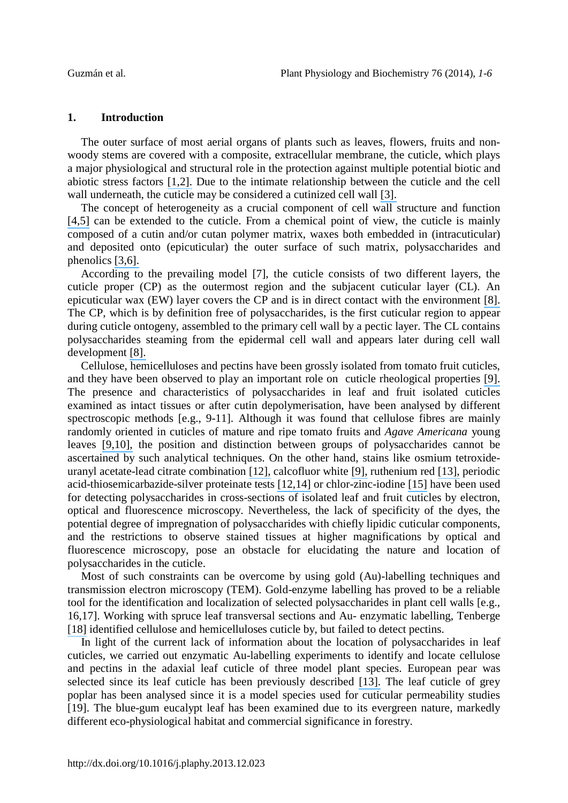#### **1. Introduction**

The outer surface of most aerial organs of plants such as leaves, flowers, fruits and nonwoody stems are covered with a composite, extracellular membrane, the cuticle, which plays a major physiological and structural role in the protection against multiple potential biotic and abiotic stress factors [\[1,2\].](https://www.researchgate.net/publication/24028551_Surface_lipids_and_plant_defenses?el=1_x_8&enrichId=rgreq-fb0b7382-ae68-40bb-8777-ec5332aee252&enrichSource=Y292ZXJQYWdlOzI1OTgyNjAxOTtBUzoxMDM0MDczNTIyODcyNDBAMTQwMTY2NTY0MjUzNQ==) Due to the intimate relationship between the cuticle and the cell wall underneath, the cuticle may be considered a cutinized cell wall [\[3\].](https://www.researchgate.net/publication/50273291_The_biophysical_design_of_plant_cuticles_an_overview._New_Phytol?el=1_x_8&enrichId=rgreq-fb0b7382-ae68-40bb-8777-ec5332aee252&enrichSource=Y292ZXJQYWdlOzI1OTgyNjAxOTtBUzoxMDM0MDczNTIyODcyNDBAMTQwMTY2NTY0MjUzNQ==)

The concept of heterogeneity as a crucial component of cell wall structure and function [\[4,5\]](https://www.researchgate.net/publication/229179374_Cell_wall_components_affect_mechanical_properties_Studies_with_thistle_flowers?el=1_x_8&enrichId=rgreq-fb0b7382-ae68-40bb-8777-ec5332aee252&enrichSource=Y292ZXJQYWdlOzI1OTgyNjAxOTtBUzoxMDM0MDczNTIyODcyNDBAMTQwMTY2NTY0MjUzNQ==) can be extended to the cuticle. From a chemical point of view, the cuticle is mainly composed of a cutin and/or cutan polymer matrix, waxes both embedded in (intracuticular) and deposited onto (epicuticular) the outer surface of such matrix, polysaccharides and phenolics [\[3,6\].](https://www.researchgate.net/publication/50273291_The_biophysical_design_of_plant_cuticles_an_overview._New_Phytol?el=1_x_8&enrichId=rgreq-fb0b7382-ae68-40bb-8777-ec5332aee252&enrichSource=Y292ZXJQYWdlOzI1OTgyNjAxOTtBUzoxMDM0MDczNTIyODcyNDBAMTQwMTY2NTY0MjUzNQ==)

According to the prevailing model [7], the cuticle consists of two different layers, the cuticle proper (CP) as the outermost region and the subjacent cuticular layer (CL). An epicuticular wax (EW) layer covers the CP and is in direct contact with the environment [\[8\].](https://www.researchgate.net/publication/229714322_The_Fine_Structure_of_the_Plant_Cuticle?el=1_x_8&enrichId=rgreq-fb0b7382-ae68-40bb-8777-ec5332aee252&enrichSource=Y292ZXJQYWdlOzI1OTgyNjAxOTtBUzoxMDM0MDczNTIyODcyNDBAMTQwMTY2NTY0MjUzNQ==) The CP, which is by definition free of polysaccharides, is the first cuticular region to appear during cuticle ontogeny, assembled to the primary cell wall by a pectic layer. The CL contains polysaccharides steaming from the epidermal cell wall and appears later during cell wall development [\[8\].](https://www.researchgate.net/publication/229714322_The_Fine_Structure_of_the_Plant_Cuticle?el=1_x_8&enrichId=rgreq-fb0b7382-ae68-40bb-8777-ec5332aee252&enrichSource=Y292ZXJQYWdlOzI1OTgyNjAxOTtBUzoxMDM0MDczNTIyODcyNDBAMTQwMTY2NTY0MjUzNQ==)

Cellulose, hemicelluloses and pectins have been grossly isolated from tomato fruit cuticles, and they have been observed to play an important role on cuticle rheological properties [\[9\].](https://www.researchgate.net/publication/5871604_Biomechanics_of_isolated_tomato_(Solanum_lycopersicum_L.)_fruit_cuticles_The_role_of_the_cutin_matrix_and_polysaccharides?el=1_x_8&enrichId=rgreq-fb0b7382-ae68-40bb-8777-ec5332aee252&enrichSource=Y292ZXJQYWdlOzI1OTgyNjAxOTtBUzoxMDM0MDczNTIyODcyNDBAMTQwMTY2NTY0MjUzNQ==) The presence and characteristics of polysaccharides in leaf and fruit isolated cuticles examined as intact tissues or after cutin depolymerisation, have been analysed by different spectroscopic methods [e.g., 9-11]. Although it was found that cellulose fibres are mainly randomly oriented in cuticles of mature and ripe tomato fruits and *Agave Americana* young leaves [\[9,10\],](https://www.researchgate.net/publication/13409694_Water_hydration_in_cutinized_cell_walls_A_physico-chemical_analysis?el=1_x_8&enrichId=rgreq-fb0b7382-ae68-40bb-8777-ec5332aee252&enrichSource=Y292ZXJQYWdlOzI1OTgyNjAxOTtBUzoxMDM0MDczNTIyODcyNDBAMTQwMTY2NTY0MjUzNQ==) the position and distinction between groups of polysaccharides cannot be ascertained by such analytical techniques. On the other hand, stains like osmium tetroxideuranyl acetate-lead citrate combination [\[12\],](https://www.researchgate.net/publication/31284495_Studies_on_the_Ultrastructure_and_Histochemistry_of_Plant_Cuticles_Isolated_Cuticular_Membrane_Preparations_of_Agave_americana_L._and_the_Effects_of_Various_Extraction_Procedures?el=1_x_8&enrichId=rgreq-fb0b7382-ae68-40bb-8777-ec5332aee252&enrichSource=Y292ZXJQYWdlOzI1OTgyNjAxOTtBUzoxMDM0MDczNTIyODcyNDBAMTQwMTY2NTY0MjUzNQ==) calcofluor white [\[9\],](https://www.researchgate.net/publication/5871604_Biomechanics_of_isolated_tomato_(Solanum_lycopersicum_L.)_fruit_cuticles_The_role_of_the_cutin_matrix_and_polysaccharides?el=1_x_8&enrichId=rgreq-fb0b7382-ae68-40bb-8777-ec5332aee252&enrichSource=Y292ZXJQYWdlOzI1OTgyNjAxOTtBUzoxMDM0MDczNTIyODcyNDBAMTQwMTY2NTY0MjUzNQ==) ruthenium red [\[13\],](https://www.researchgate.net/publication/240820234_Structure_of_the_Pear_Leaf_Cuticle_with_Special_Reference_to_Cuticular_Penetration?el=1_x_8&enrichId=rgreq-fb0b7382-ae68-40bb-8777-ec5332aee252&enrichSource=Y292ZXJQYWdlOzI1OTgyNjAxOTtBUzoxMDM0MDczNTIyODcyNDBAMTQwMTY2NTY0MjUzNQ==) periodic acid-thiosemicarbazide-silver proteinate tests [\[12,14\]](https://www.researchgate.net/publication/31284495_Studies_on_the_Ultrastructure_and_Histochemistry_of_Plant_Cuticles_Isolated_Cuticular_Membrane_Preparations_of_Agave_americana_L._and_the_Effects_of_Various_Extraction_Procedures?el=1_x_8&enrichId=rgreq-fb0b7382-ae68-40bb-8777-ec5332aee252&enrichSource=Y292ZXJQYWdlOzI1OTgyNjAxOTtBUzoxMDM0MDczNTIyODcyNDBAMTQwMTY2NTY0MjUzNQ==) or chlor-zinc-iodine [\[15\]](https://www.researchgate.net/publication/205631319_Biomechanics_and_anatomy_of_Lycopersicon_esculentum_fruit_peels_and_enzyme-treated_samples?el=1_x_8&enrichId=rgreq-fb0b7382-ae68-40bb-8777-ec5332aee252&enrichSource=Y292ZXJQYWdlOzI1OTgyNjAxOTtBUzoxMDM0MDczNTIyODcyNDBAMTQwMTY2NTY0MjUzNQ==) have been used for detecting polysaccharides in cross-sections of isolated leaf and fruit cuticles by electron, optical and fluorescence microscopy. Nevertheless, the lack of specificity of the dyes, the potential degree of impregnation of polysaccharides with chiefly lipidic cuticular components, and the restrictions to observe stained tissues at higher magnifications by optical and fluorescence microscopy, pose an obstacle for elucidating the nature and location of polysaccharides in the cuticle.

Most of such constraints can be overcome by using gold (Au)-labelling techniques and transmission electron microscopy (TEM). Gold-enzyme labelling has proved to be a reliable tool for the identification and localization of selected polysaccharides in plant cell walls [e.g., 16,17]. Working with spruce leaf transversal sections and Au- enzymatic labelling, Tenberge [\[18\]](https://www.researchgate.net/publication/237164936_Ultrastructure_and_development_of_the_outer_epidermal_wall_of_spruce_(Picea_abies)_needles._Can_J_Bot_70_1467-1487?el=1_x_8&enrichId=rgreq-fb0b7382-ae68-40bb-8777-ec5332aee252&enrichSource=Y292ZXJQYWdlOzI1OTgyNjAxOTtBUzoxMDM0MDczNTIyODcyNDBAMTQwMTY2NTY0MjUzNQ==) identified cellulose and hemicelluloses cuticle by, but failed to detect pectins.

In light of the current lack of information about the location of polysaccharides in leaf cuticles, we carried out enzymatic Au-labelling experiments to identify and locate cellulose and pectins in the adaxial leaf cuticle of three model plant species. European pear was selected since its leaf cuticle has been previously described [\[13\].](https://www.researchgate.net/publication/240820234_Structure_of_the_Pear_Leaf_Cuticle_with_Special_Reference_to_Cuticular_Penetration?el=1_x_8&enrichId=rgreq-fb0b7382-ae68-40bb-8777-ec5332aee252&enrichSource=Y292ZXJQYWdlOzI1OTgyNjAxOTtBUzoxMDM0MDczNTIyODcyNDBAMTQwMTY2NTY0MjUzNQ==) The leaf cuticle of grey poplar has been analysed since it is a model species used for cuticular permeability studies [19]. The blue-gum eucalypt leaf has been examined due to its evergreen nature, markedly different eco-physiological habitat and commercial significance in forestry.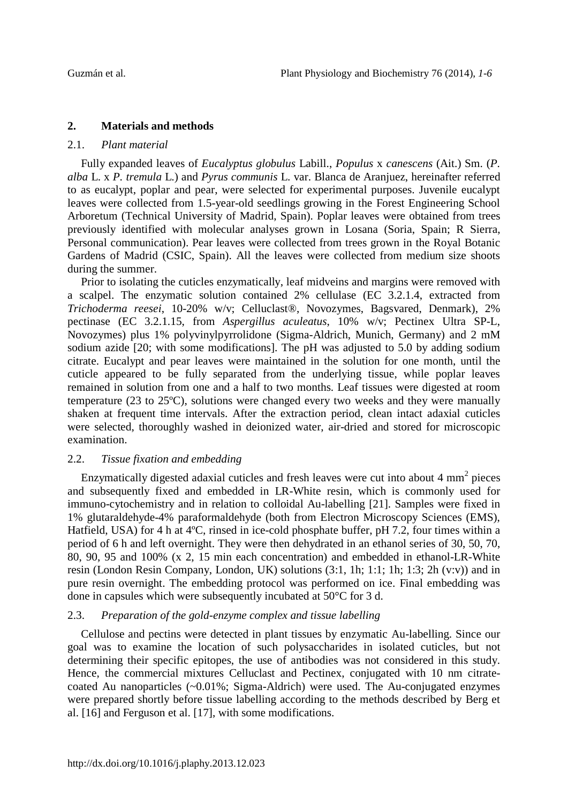# **2. Materials and methods**

#### 2.1. *Plant material*

Fully expanded leaves of *Eucalyptus globulus* Labill., *Populus* x *canescens* (Ait.) Sm. (*P. alba* L. x *P. tremula* L.) and *Pyrus communis* L. var. Blanca de Aranjuez, hereinafter referred to as eucalypt, poplar and pear, were selected for experimental purposes. Juvenile eucalypt leaves were collected from 1.5-year-old seedlings growing in the Forest Engineering School Arboretum (Technical University of Madrid, Spain). Poplar leaves were obtained from trees previously identified with molecular analyses grown in Losana (Soria, Spain; R Sierra, Personal communication). Pear leaves were collected from trees grown in the Royal Botanic Gardens of Madrid (CSIC, Spain). All the leaves were collected from medium size shoots during the summer.

Prior to isolating the cuticles enzymatically, leaf midveins and margins were removed with a scalpel. The enzymatic solution contained 2% cellulase (EC 3.2.1.4, extracted from *Trichoderma reesei*, 10-20% w/v; Celluclast®, Novozymes, Bagsvared, Denmark), 2% pectinase (EC 3.2.1.15, from *Aspergillus aculeatus*, 10% w/v; Pectinex Ultra SP-L, Novozymes) plus 1% polyvinylpyrrolidone (Sigma-Aldrich, Munich, Germany) and 2 mM sodium azide [20; with some modifications]. The pH was adjusted to 5.0 by adding sodium citrate. Eucalypt and pear leaves were maintained in the solution for one month, until the cuticle appeared to be fully separated from the underlying tissue, while poplar leaves remained in solution from one and a half to two months. Leaf tissues were digested at room temperature (23 to 25ºC), solutions were changed every two weeks and they were manually shaken at frequent time intervals. After the extraction period, clean intact adaxial cuticles were selected, thoroughly washed in deionized water, air-dried and stored for microscopic examination.

## 2.2. *Tissue fixation and embedding*

Enzymatically digested adaxial cuticles and fresh leaves were cut into about  $4 \text{ mm}^2$  pieces and subsequently fixed and embedded in LR-White resin, which is commonly used for immuno-cytochemistry and in relation to colloidal Au-labelling [21]. Samples were fixed in 1% glutaraldehyde-4% paraformaldehyde (both from Electron Microscopy Sciences (EMS), Hatfield, USA) for 4 h at 4°C, rinsed in ice-cold phosphate buffer, pH 7.2, four times within a period of 6 h and left overnight. They were then dehydrated in an ethanol series of 30, 50, 70, 80, 90, 95 and 100% (x 2, 15 min each concentration) and embedded in ethanol-LR-White resin (London Resin Company, London, UK) solutions (3:1, 1h; 1:1; 1h; 1:3; 2h (v:v)) and in pure resin overnight. The embedding protocol was performed on ice. Final embedding was done in capsules which were subsequently incubated at 50°C for 3 d.

## 2.3. *Preparation of the gold-enzyme complex and tissue labelling*

Cellulose and pectins were detected in plant tissues by enzymatic Au-labelling. Since our goal was to examine the location of such polysaccharides in isolated cuticles, but not determining their specific epitopes, the use of antibodies was not considered in this study. Hence, the commercial mixtures Celluclast and Pectinex, conjugated with 10 nm citratecoated Au nanoparticles (~0.01%; Sigma-Aldrich) were used. The Au-conjugated enzymes were prepared shortly before tissue labelling according to the methods described by Berg et al. [16] and Ferguson et al. [17], with some modifications.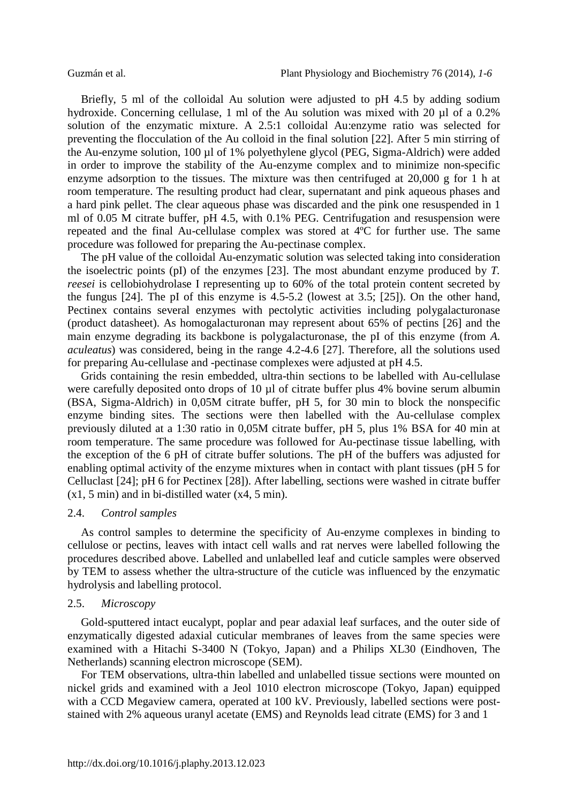Briefly, 5 ml of the colloidal Au solution were adjusted to pH 4.5 by adding sodium hydroxide. Concerning cellulase, 1 ml of the Au solution was mixed with 20 µl of a 0.2% solution of the enzymatic mixture. A 2.5:1 colloidal Au:enzyme ratio was selected for preventing the flocculation of the Au colloid in the final solution [22]. After 5 min stirring of the Au-enzyme solution, 100 µl of 1% polyethylene glycol (PEG, Sigma-Aldrich) were added in order to improve the stability of the Au-enzyme complex and to minimize non-specific enzyme adsorption to the tissues. The mixture was then centrifuged at 20,000 g for 1 h at room temperature. The resulting product had clear, supernatant and pink aqueous phases and a hard pink pellet. The clear aqueous phase was discarded and the pink one resuspended in 1 ml of 0.05 M citrate buffer, pH 4.5, with 0.1% PEG. Centrifugation and resuspension were repeated and the final Au-cellulase complex was stored at 4ºC for further use. The same procedure was followed for preparing the Au-pectinase complex.

The pH value of the colloidal Au-enzymatic solution was selected taking into consideration the isoelectric points (pI) of the enzymes [23]. The most abundant enzyme produced by *T. reesei* is cellobiohydrolase I representing up to 60% of the total protein content secreted by the fungus [24]. The pI of this enzyme is 4.5-5.2 (lowest at 3.5; [25]). On the other hand, Pectinex contains several enzymes with pectolytic activities including polygalacturonase (product datasheet). As homogalacturonan may represent about 65% of pectins [26] and the main enzyme degrading its backbone is polygalacturonase, the pI of this enzyme (from *A. aculeatus*) was considered, being in the range 4.2-4.6 [27]. Therefore, all the solutions used for preparing Au-cellulase and -pectinase complexes were adjusted at pH 4.5.

Grids containing the resin embedded, ultra-thin sections to be labelled with Au-cellulase were carefully deposited onto drops of 10  $\mu$ l of citrate buffer plus 4% bovine serum albumin (BSA, Sigma-Aldrich) in 0,05M citrate buffer, pH 5, for 30 min to block the nonspecific enzyme binding sites. The sections were then labelled with the Au-cellulase complex previously diluted at a 1:30 ratio in 0,05M citrate buffer, pH 5, plus 1% BSA for 40 min at room temperature. The same procedure was followed for Au-pectinase tissue labelling, with the exception of the 6 pH of citrate buffer solutions. The pH of the buffers was adjusted for enabling optimal activity of the enzyme mixtures when in contact with plant tissues (pH 5 for Celluclast [24]; pH 6 for Pectinex [28]). After labelling, sections were washed in citrate buffer (x1, 5 min) and in bi-distilled water (x4, 5 min).

#### 2.4. *Control samples*

As control samples to determine the specificity of Au-enzyme complexes in binding to cellulose or pectins, leaves with intact cell walls and rat nerves were labelled following the procedures described above. Labelled and unlabelled leaf and cuticle samples were observed by TEM to assess whether the ultra-structure of the cuticle was influenced by the enzymatic hydrolysis and labelling protocol.

#### 2.5. *Microscopy*

Gold-sputtered intact eucalypt, poplar and pear adaxial leaf surfaces, and the outer side of enzymatically digested adaxial cuticular membranes of leaves from the same species were examined with a Hitachi S-3400 N (Tokyo, Japan) and a Philips XL30 (Eindhoven, The Netherlands) scanning electron microscope (SEM).

For TEM observations, ultra-thin labelled and unlabelled tissue sections were mounted on nickel grids and examined with a Jeol 1010 electron microscope (Tokyo, Japan) equipped with a CCD Megaview camera, operated at 100 kV. Previously, labelled sections were poststained with 2% aqueous uranyl acetate (EMS) and Reynolds lead citrate (EMS) for 3 and 1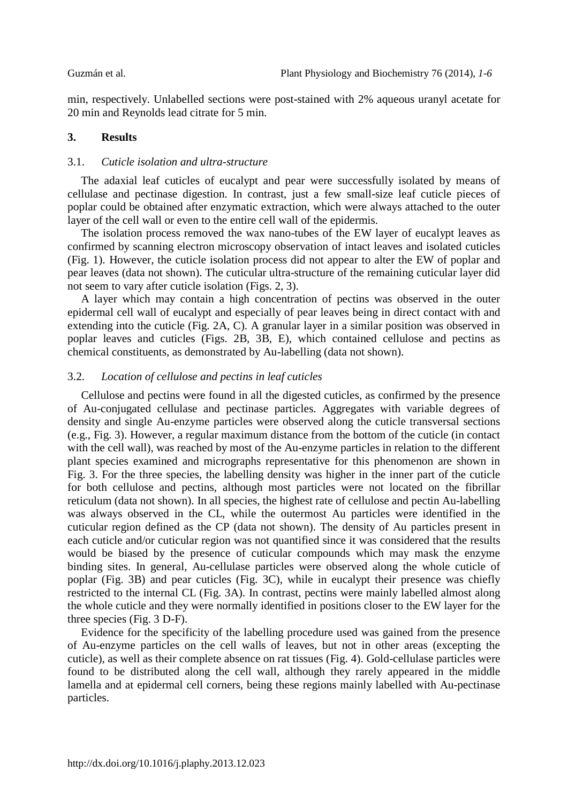min, respectively. Unlabelled sections were post-stained with 2% aqueous uranyl acetate for 20 min and Reynolds lead citrate for 5 min.

# **3. Results**

## 3.1. *Cuticle isolation and ultra-structure*

The adaxial leaf cuticles of eucalypt and pear were successfully isolated by means of cellulase and pectinase digestion. In contrast, just a few small-size leaf cuticle pieces of poplar could be obtained after enzymatic extraction, which were always attached to the outer layer of the cell wall or even to the entire cell wall of the epidermis.

The isolation process removed the wax nano-tubes of the EW layer of eucalypt leaves as confirmed by scanning electron microscopy observation of intact leaves and isolated cuticles (Fig. 1). However, the cuticle isolation process did not appear to alter the EW of poplar and pear leaves (data not shown). The cuticular ultra-structure of the remaining cuticular layer did not seem to vary after cuticle isolation (Figs. 2, 3).

A layer which may contain a high concentration of pectins was observed in the outer epidermal cell wall of eucalypt and especially of pear leaves being in direct contact with and extending into the cuticle (Fig. 2A, C). A granular layer in a similar position was observed in poplar leaves and cuticles (Figs. 2B, 3B, E), which contained cellulose and pectins as chemical constituents, as demonstrated by Au-labelling (data not shown).

# 3.2. *Location of cellulose and pectins in leaf cuticles*

Cellulose and pectins were found in all the digested cuticles, as confirmed by the presence of Au-conjugated cellulase and pectinase particles. Aggregates with variable degrees of density and single Au-enzyme particles were observed along the cuticle transversal sections (e.g., Fig. 3). However, a regular maximum distance from the bottom of the cuticle (in contact with the cell wall), was reached by most of the Au-enzyme particles in relation to the different plant species examined and micrographs representative for this phenomenon are shown in Fig. 3. For the three species, the labelling density was higher in the inner part of the cuticle for both cellulose and pectins, although most particles were not located on the fibrillar reticulum (data not shown). In all species, the highest rate of cellulose and pectin Au-labelling was always observed in the CL, while the outermost Au particles were identified in the cuticular region defined as the CP (data not shown). The density of Au particles present in each cuticle and/or cuticular region was not quantified since it was considered that the results would be biased by the presence of cuticular compounds which may mask the enzyme binding sites. In general, Au-cellulase particles were observed along the whole cuticle of poplar (Fig. 3B) and pear cuticles (Fig. 3C), while in eucalypt their presence was chiefly restricted to the internal CL (Fig. 3A). In contrast, pectins were mainly labelled almost along the whole cuticle and they were normally identified in positions closer to the EW layer for the three species (Fig. 3 D-F).

Evidence for the specificity of the labelling procedure used was gained from the presence of Au-enzyme particles on the cell walls of leaves, but not in other areas (excepting the cuticle), as well as their complete absence on rat tissues (Fig. 4). Gold-cellulase particles were found to be distributed along the cell wall, although they rarely appeared in the middle lamella and at epidermal cell corners, being these regions mainly labelled with Au-pectinase particles.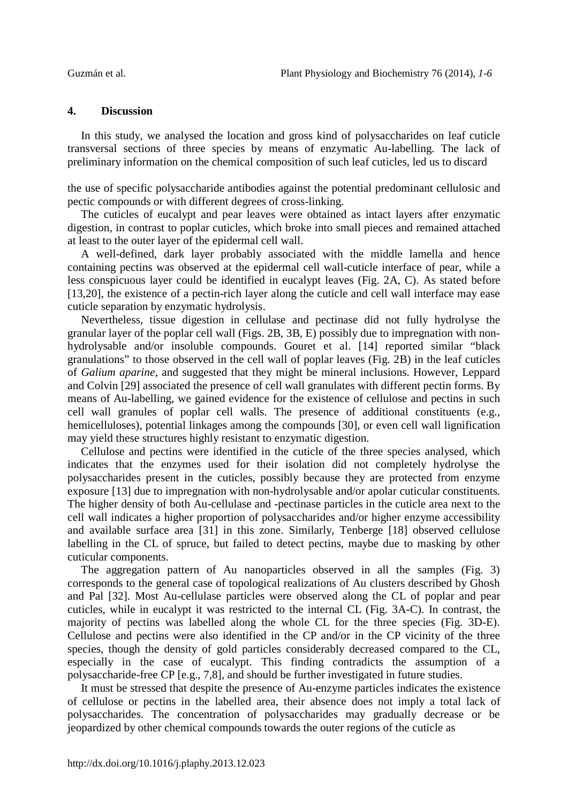#### **4. Discussion**

In this study, we analysed the location and gross kind of polysaccharides on leaf cuticle transversal sections of three species by means of enzymatic Au-labelling. The lack of preliminary information on the chemical composition of such leaf cuticles, led us to discard

the use of specific polysaccharide antibodies against the potential predominant cellulosic and pectic compounds or with different degrees of cross-linking.

The cuticles of eucalypt and pear leaves were obtained as intact layers after enzymatic digestion, in contrast to poplar cuticles, which broke into small pieces and remained attached at least to the outer layer of the epidermal cell wall.

A well-defined, dark layer probably associated with the middle lamella and hence containing pectins was observed at the epidermal cell wall-cuticle interface of pear, while a less conspicuous layer could be identified in eucalypt leaves (Fig. 2A, C). As stated before [13,20], the existence of a pectin-rich layer along the cuticle and cell wall interface may ease cuticle separation by enzymatic hydrolysis.

Nevertheless, tissue digestion in cellulase and pectinase did not fully hydrolyse the granular layer of the poplar cell wall (Figs. 2B, 3B, E) possibly due to impregnation with nonhydrolysable and/or insoluble compounds. Gouret et al. [14] reported similar "black granulations" to those observed in the cell wall of poplar leaves (Fig. 2B) in the leaf cuticles of *Galium aparine*, and suggested that they might be mineral inclusions. However, Leppard and Colvin [29] associated the presence of cell wall granulates with different pectin forms. By means of Au-labelling, we gained evidence for the existence of cellulose and pectins in such cell wall granules of poplar cell walls. The presence of additional constituents (e.g., hemicelluloses), potential linkages among the compounds [30], or even cell wall lignification may yield these structures highly resistant to enzymatic digestion.

Cellulose and pectins were identified in the cuticle of the three species analysed, which indicates that the enzymes used for their isolation did not completely hydrolyse the polysaccharides present in the cuticles, possibly because they are protected from enzyme exposure [13] due to impregnation with non-hydrolysable and/or apolar cuticular constituents. The higher density of both Au-cellulase and -pectinase particles in the cuticle area next to the cell wall indicates a higher proportion of polysaccharides and/or higher enzyme accessibility and available surface area [31] in this zone. Similarly, Tenberge [18] observed cellulose labelling in the CL of spruce, but failed to detect pectins, maybe due to masking by other cuticular components.

The aggregation pattern of Au nanoparticles observed in all the samples (Fig. 3) corresponds to the general case of topological realizations of Au clusters described by Ghosh and Pal [32]. Most Au-cellulase particles were observed along the CL of poplar and pear cuticles, while in eucalypt it was restricted to the internal CL (Fig. 3A-C). In contrast, the majority of pectins was labelled along the whole CL for the three species (Fig. 3D-E). Cellulose and pectins were also identified in the CP and/or in the CP vicinity of the three species, though the density of gold particles considerably decreased compared to the CL, especially in the case of eucalypt. This finding contradicts the assumption of a polysaccharide-free CP [e.g., 7,8], and should be further investigated in future studies.

It must be stressed that despite the presence of Au-enzyme particles indicates the existence of cellulose or pectins in the labelled area, their absence does not imply a total lack of polysaccharides. The concentration of polysaccharides may gradually decrease or be jeopardized by other chemical compounds towards the outer regions of the cuticle as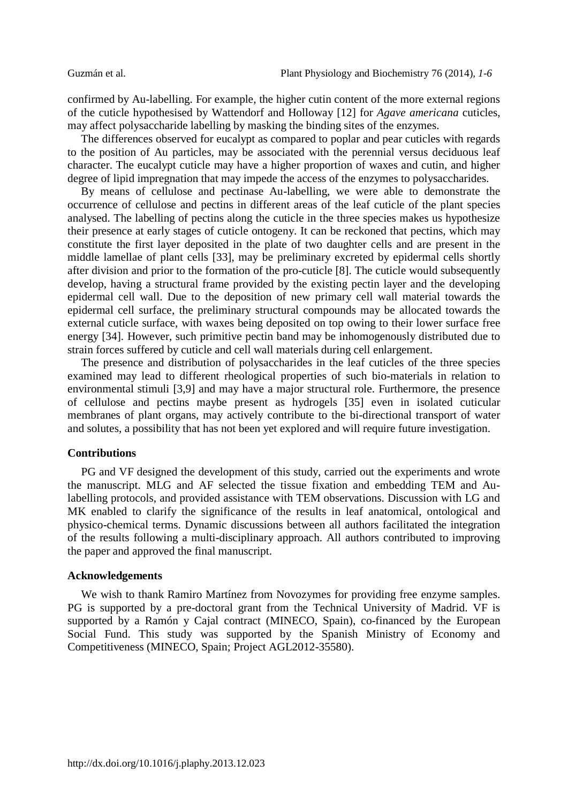confirmed by Au-labelling. For example, the higher cutin content of the more external regions of the cuticle hypothesised by Wattendorf and Holloway [12] for *Agave americana* cuticles, may affect polysaccharide labelling by masking the binding sites of the enzymes.

The differences observed for eucalypt as compared to poplar and pear cuticles with regards to the position of Au particles, may be associated with the perennial versus deciduous leaf character. The eucalypt cuticle may have a higher proportion of waxes and cutin, and higher degree of lipid impregnation that may impede the access of the enzymes to polysaccharides.

By means of cellulose and pectinase Au-labelling, we were able to demonstrate the occurrence of cellulose and pectins in different areas of the leaf cuticle of the plant species analysed. The labelling of pectins along the cuticle in the three species makes us hypothesize their presence at early stages of cuticle ontogeny. It can be reckoned that pectins, which may constitute the first layer deposited in the plate of two daughter cells and are present in the middle lamellae of plant cells [33], may be preliminary excreted by epidermal cells shortly after division and prior to the formation of the pro-cuticle [8]. The cuticle would subsequently develop, having a structural frame provided by the existing pectin layer and the developing epidermal cell wall. Due to the deposition of new primary cell wall material towards the epidermal cell surface, the preliminary structural compounds may be allocated towards the external cuticle surface, with waxes being deposited on top owing to their lower surface free energy [34]. However, such primitive pectin band may be inhomogenously distributed due to strain forces suffered by cuticle and cell wall materials during cell enlargement.

The presence and distribution of polysaccharides in the leaf cuticles of the three species examined may lead to different rheological properties of such bio-materials in relation to environmental stimuli [3,9] and may have a major structural role. Furthermore, the presence of cellulose and pectins maybe present as hydrogels [35] even in isolated cuticular membranes of plant organs, may actively contribute to the bi-directional transport of water and solutes, a possibility that has not been yet explored and will require future investigation.

#### **Contributions**

PG and VF designed the development of this study, carried out the experiments and wrote the manuscript. MLG and AF selected the tissue fixation and embedding TEM and Aulabelling protocols, and provided assistance with TEM observations. Discussion with LG and MK enabled to clarify the significance of the results in leaf anatomical, ontological and physico-chemical terms. Dynamic discussions between all authors facilitated the integration of the results following a multi-disciplinary approach. All authors contributed to improving the paper and approved the final manuscript.

#### **Acknowledgements**

We wish to thank Ramiro Martínez from Novozymes for providing free enzyme samples. PG is supported by a pre-doctoral grant from the Technical University of Madrid. VF is supported by a Ramón y Cajal contract (MINECO, Spain), co-financed by the European Social Fund. This study was supported by the Spanish Ministry of Economy and Competitiveness (MINECO, Spain; Project AGL2012-35580).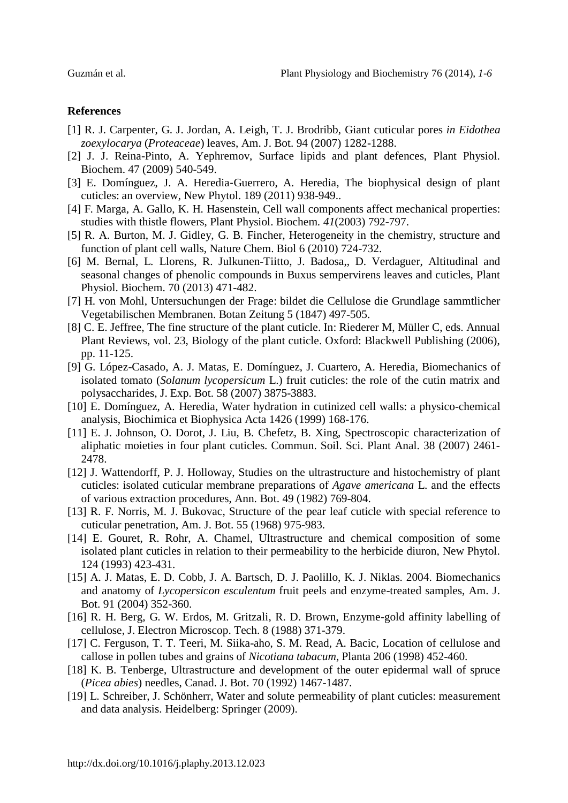## **References**

- [1] R. J. Carpenter, G. J. Jordan, A. Leigh, T. J. Brodribb, Giant cuticular pores *in Eidothea zoexylocarya* (*Proteaceae*) leaves, Am. J. Bot. 94 (2007) 1282-1288.
- [2] J. J. Reina-Pinto, A. Yephremov, Surface lipids and plant defences, Plant Physiol. Biochem. 47 (2009) 540-549.
- [3] E. Domínguez, J. A. Heredia‐Guerrero, A. Heredia, The biophysical design of plant cuticles: an overview, New Phytol. 189 (2011) 938-949..
- [4] F. Marga, A. Gallo, K. H. Hasenstein, Cell wall components affect mechanical properties: studies with thistle flowers, Plant Physiol. Biochem*. 41*(2003) 792-797.
- [5] R. A. Burton, M. J. Gidley, G. B. Fincher, Heterogeneity in the chemistry, structure and function of plant cell walls, Nature Chem. Biol 6 (2010) 724-732.
- [6] M. Bernal, L. Llorens, R. Julkunen-Tiitto, J. Badosa,, D. Verdaguer, Altitudinal and seasonal changes of phenolic compounds in Buxus sempervirens leaves and cuticles, Plant Physiol. Biochem. 70 (2013) 471-482.
- [7] H. von Mohl, Untersuchungen der Frage: bildet die Cellulose die Grundlage sammtlicher Vegetabilischen Membranen. Botan Zeitung 5 (1847) 497-505.
- [8] C. E. Jeffree, The fine structure of the plant cuticle. In: Riederer M, Müller C, eds. Annual Plant Reviews, vol. 23, Biology of the plant cuticle. Oxford: Blackwell Publishing (2006), pp. 11-125.
- [9] G. López-Casado, A. J. Matas, E. Domínguez, J. Cuartero, A. Heredia, Biomechanics of isolated tomato (*Solanum lycopersicum* L.) fruit cuticles: the role of the cutin matrix and polysaccharides, J. Exp. Bot. 58 (2007) 3875-3883.
- [10] E. Domínguez, A. Heredia, Water hydration in cutinized cell walls: a physico-chemical analysis, Biochimica et Biophysica Acta 1426 (1999) 168-176.
- [11] E. J. Johnson, O. Dorot, J. Liu, B. Chefetz, B. Xing, Spectroscopic characterization of aliphatic moieties in four plant cuticles. Commun. Soil. Sci. Plant Anal. 38 (2007) 2461- 2478.
- [12] J. Wattendorff, P. J. Holloway, Studies on the ultrastructure and histochemistry of plant cuticles: isolated cuticular membrane preparations of *Agave americana* L. and the effects of various extraction procedures, Ann. Bot. 49 (1982) 769-804.
- [13] R. F. Norris, M. J. Bukovac, Structure of the pear leaf cuticle with special reference to cuticular penetration, Am. J. Bot. 55 (1968) 975-983.
- [14] E. Gouret, R. Rohr, A. Chamel, Ultrastructure and chemical composition of some isolated plant cuticles in relation to their permeability to the herbicide diuron, New Phytol. 124 (1993) 423-431.
- [15] A. J. Matas, E. D. Cobb, J. A. Bartsch, D. J. Paolillo, K. J. Niklas. 2004. Biomechanics and anatomy of *Lycopersicon esculentum* fruit peels and enzyme-treated samples, Am. J. Bot. 91 (2004) 352-360.
- [16] R. H. Berg, G. W. Erdos, M. Gritzali, R. D. Brown, Enzyme-gold affinity labelling of cellulose, J. Electron Microscop. Tech. 8 (1988) 371-379.
- [17] C. Ferguson, T. T. Teeri, M. Siika-aho, S. M. Read, A. Bacic, Location of cellulose and callose in pollen tubes and grains of *Nicotiana tabacum*, Planta 206 (1998) 452-460.
- [18] K. B. Tenberge, Ultrastructure and development of the outer epidermal wall of spruce (*Picea abies*) needles, Canad. J. Bot. 70 (1992) 1467-1487.
- [19] L. Schreiber, J. Schönherr, Water and solute permeability of plant cuticles: measurement and data analysis. Heidelberg: Springer (2009).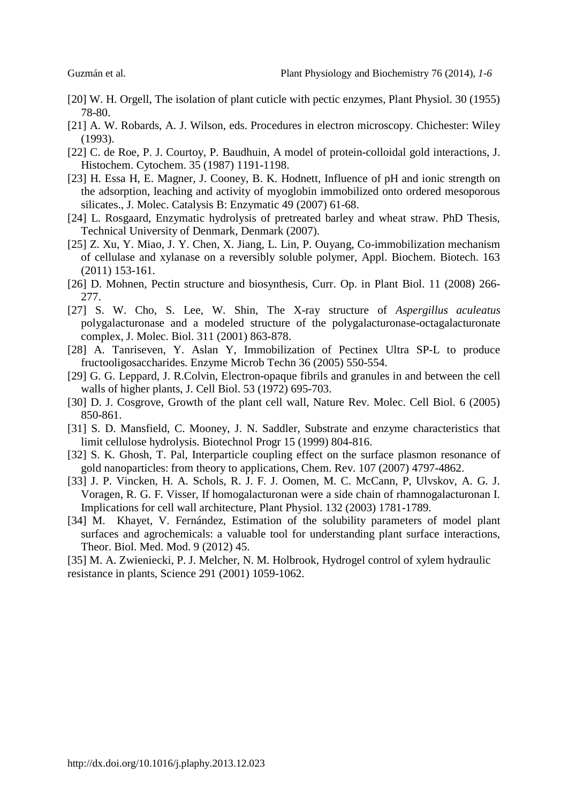- [20] W. H. Orgell, The isolation of plant cuticle with pectic enzymes, Plant Physiol. 30 (1955) 78-80.
- [21] A. W. Robards, A. J. Wilson, eds. Procedures in electron microscopy. Chichester: Wiley (1993).
- [22] C. de Roe, P. J. Courtoy, P. Baudhuin, A model of protein-colloidal gold interactions, J. Histochem. Cytochem. 35 (1987) 1191-1198.
- [23] H. Essa H, E. Magner, J. Cooney, B. K. Hodnett, Influence of pH and ionic strength on the adsorption, leaching and activity of myoglobin immobilized onto ordered mesoporous silicates., J. Molec. Catalysis B: Enzymatic 49 (2007) 61-68.
- [24] L. Rosgaard, Enzymatic hydrolysis of pretreated barley and wheat straw. PhD Thesis, Technical University of Denmark, Denmark (2007).
- [25] Z. Xu, Y. Miao, J. Y. Chen, X. Jiang, L. Lin, P. Ouyang, Co-immobilization mechanism of cellulase and xylanase on a reversibly soluble polymer, Appl. Biochem. Biotech. 163 (2011) 153-161.
- [26] D. Mohnen, Pectin structure and biosynthesis, Curr. Op. in Plant Biol. 11 (2008) 266-277.
- [27] S. W. Cho, S. Lee, W. Shin, The X-ray structure of *Aspergillus aculeatus* polygalacturonase and a modeled structure of the polygalacturonase-octagalacturonate complex, J. Molec. Biol. 311 (2001) 863-878.
- [28] A. Tanriseven, Y. Aslan Y, Immobilization of Pectinex Ultra SP-L to produce fructooligosaccharides. Enzyme Microb Techn 36 (2005) 550-554.
- [29] G. G. Leppard, J. R.Colvin, Electron-opaque fibrils and granules in and between the cell walls of higher plants, J. Cell Biol. 53 (1972) 695-703.
- [30] D. J. Cosgrove, Growth of the plant cell wall, Nature Rev. Molec. Cell Biol. 6 (2005) 850-861.
- [31] S. D. Mansfield, C. Mooney, J. N. Saddler, Substrate and enzyme characteristics that limit cellulose hydrolysis. Biotechnol Progr 15 (1999) 804-816.
- [32] S. K. Ghosh, T. Pal, Interparticle coupling effect on the surface plasmon resonance of gold nanoparticles: from theory to applications, Chem. Rev. 107 (2007) 4797-4862.
- [33] J. P. Vincken, H. A. Schols, R. J. F. J. Oomen, M. C. McCann, P, Ulvskov, A. G. J. Voragen, R. G. F. Visser, If homogalacturonan were a side chain of rhamnogalacturonan I. Implications for cell wall architecture, Plant Physiol. 132 (2003) 1781-1789.
- [34] M. Khayet, V. Fernández, Estimation of the solubility parameters of model plant surfaces and agrochemicals: a valuable tool for understanding plant surface interactions, Theor. Biol. Med. Mod. 9 (2012) 45.

[35] M. A. Zwieniecki, P. J. Melcher, N. M. Holbrook, Hydrogel control of xylem hydraulic resistance in plants, Science 291 (2001) 1059-1062.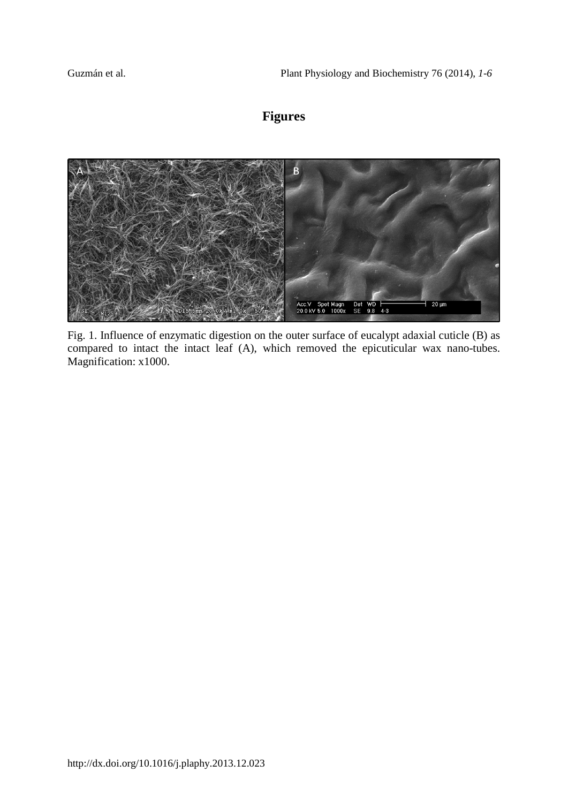# **Figures**



Fig. 1. Influence of enzymatic digestion on the outer surface of eucalypt adaxial cuticle (B) as compared to intact the intact leaf (A), which removed the epicuticular wax nano-tubes. Magnification: x1000.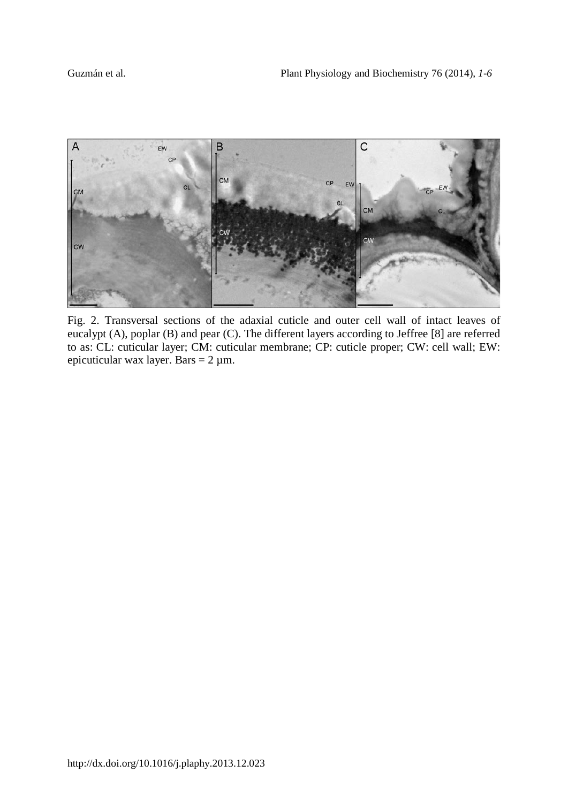

Fig. 2. Transversal sections of the adaxial cuticle and outer cell wall of intact leaves of eucalypt (A), poplar (B) and pear (C). The different layers according to Jeffree [8] are referred to as: CL: cuticular layer; CM: cuticular membrane; CP: cuticle proper; CW: cell wall; EW: epicuticular wax layer. Bars =  $2 \mu$ m.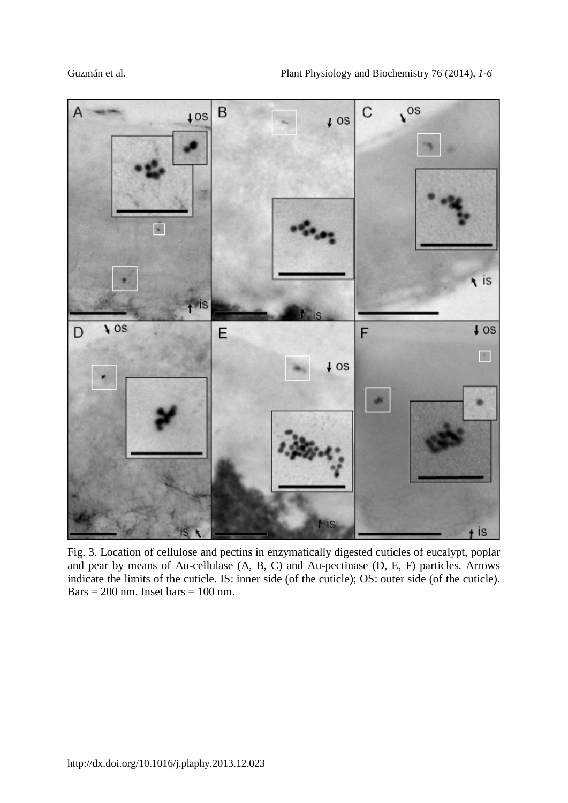

Fig. 3. Location of cellulose and pectins in enzymatically digested cuticles of eucalypt, poplar and pear by means of Au-cellulase (A, B, C) and Au-pectinase (D, E, F) particles. Arrows indicate the limits of the cuticle. IS: inner side (of the cuticle); OS: outer side (of the cuticle). Bars =  $200$  nm. Inset bars =  $100$  nm.